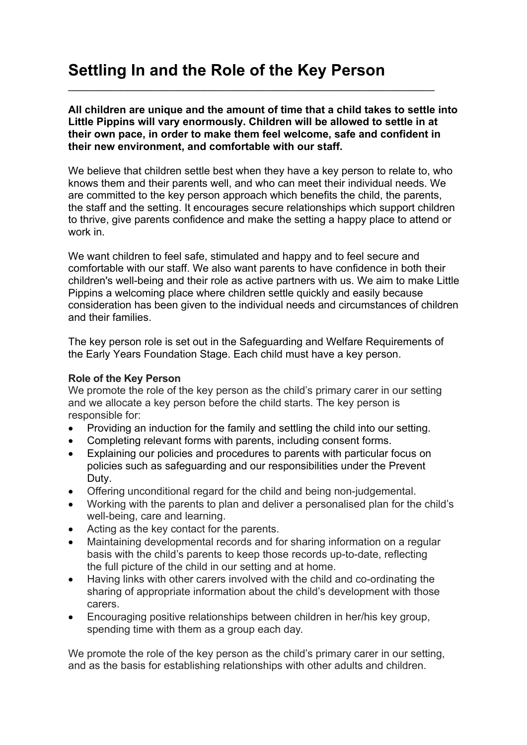## **Settling In and the Role of the Key Person**

**All children are unique and the amount of time that a child takes to settle into Little Pippins will vary enormously. Children will be allowed to settle in at their own pace, in order to make them feel welcome, safe and confident in their new environment, and comfortable with our staff.**

 $\mathcal{L}_\text{max} = \mathcal{L}_\text{max} = \mathcal{L}_\text{max} = \mathcal{L}_\text{max} = \mathcal{L}_\text{max} = \mathcal{L}_\text{max} = \mathcal{L}_\text{max} = \mathcal{L}_\text{max} = \mathcal{L}_\text{max} = \mathcal{L}_\text{max} = \mathcal{L}_\text{max} = \mathcal{L}_\text{max} = \mathcal{L}_\text{max} = \mathcal{L}_\text{max} = \mathcal{L}_\text{max} = \mathcal{L}_\text{max} = \mathcal{L}_\text{max} = \mathcal{L}_\text{max} = \mathcal{$ 

We believe that children settle best when they have a key person to relate to, who knows them and their parents well, and who can meet their individual needs. We are committed to the key person approach which benefits the child, the parents, the staff and the setting. It encourages secure relationships which support children to thrive, give parents confidence and make the setting a happy place to attend or work in.

We want children to feel safe, stimulated and happy and to feel secure and comfortable with our staff. We also want parents to have confidence in both their children's well-being and their role as active partners with us. We aim to make Little Pippins a welcoming place where children settle quickly and easily because consideration has been given to the individual needs and circumstances of children and their families.

The key person role is set out in the Safeguarding and Welfare Requirements of the Early Years Foundation Stage. Each child must have a key person.

## **Role of the Key Person**

We promote the role of the key person as the child's primary carer in our setting and we allocate a key person before the child starts. The key person is responsible for:

- Providing an induction for the family and settling the child into our setting.
- Completing relevant forms with parents, including consent forms.
- Explaining our policies and procedures to parents with particular focus on policies such as safeguarding and our responsibilities under the Prevent Duty.
- Offering unconditional regard for the child and being non-judgemental.
- Working with the parents to plan and deliver a personalised plan for the child's well-being, care and learning.
- Acting as the key contact for the parents.
- Maintaining developmental records and for sharing information on a regular basis with the child's parents to keep those records up-to-date, reflecting the full picture of the child in our setting and at home.
- Having links with other carers involved with the child and co-ordinating the sharing of appropriate information about the child's development with those carers.
- Encouraging positive relationships between children in her/his key group, spending time with them as a group each day.

We promote the role of the key person as the child's primary carer in our setting, and as the basis for establishing relationships with other adults and children.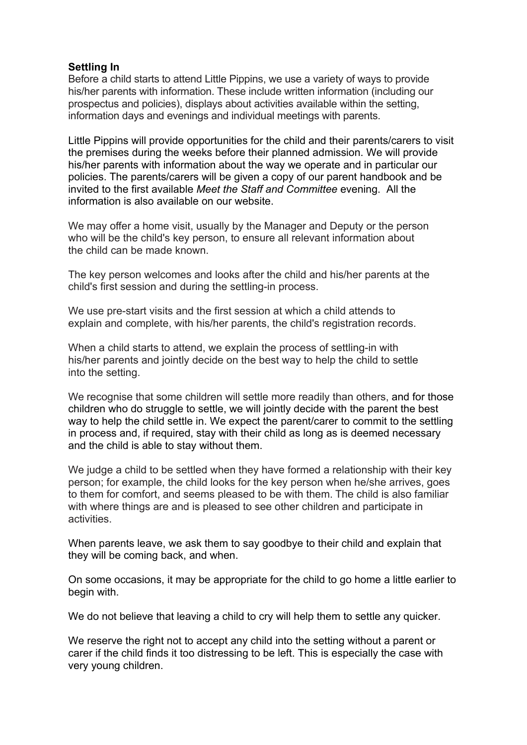## **Settling In**

Before a child starts to attend Little Pippins, we use a variety of ways to provide his/her parents with information. These include written information (including our prospectus and policies), displays about activities available within the setting, information days and evenings and individual meetings with parents.

Little Pippins will provide opportunities for the child and their parents/carers to visit the premises during the weeks before their planned admission. We will provide his/her parents with information about the way we operate and in particular our policies. The parents/carers will be given a copy of our parent handbook and be invited to the first available *Meet the Staff and Committee* evening. All the information is also available on our website.

We may offer a home visit, usually by the Manager and Deputy or the person who will be the child's key person, to ensure all relevant information about the child can be made known.

The key person welcomes and looks after the child and his/her parents at the child's first session and during the settling-in process.

We use pre-start visits and the first session at which a child attends to explain and complete, with his/her parents, the child's registration records.

When a child starts to attend, we explain the process of settling-in with his/her parents and jointly decide on the best way to help the child to settle into the setting.

We recognise that some children will settle more readily than others, and for those children who do struggle to settle, we will jointly decide with the parent the best way to help the child settle in. We expect the parent/carer to commit to the settling in process and, if required, stay with their child as long as is deemed necessary and the child is able to stay without them.

We judge a child to be settled when they have formed a relationship with their key person; for example, the child looks for the key person when he/she arrives, goes to them for comfort, and seems pleased to be with them. The child is also familiar with where things are and is pleased to see other children and participate in activities.

When parents leave, we ask them to say goodbye to their child and explain that they will be coming back, and when.

On some occasions, it may be appropriate for the child to go home a little earlier to begin with.

We do not believe that leaving a child to cry will help them to settle any quicker.

We reserve the right not to accept any child into the setting without a parent or carer if the child finds it too distressing to be left. This is especially the case with very young children.